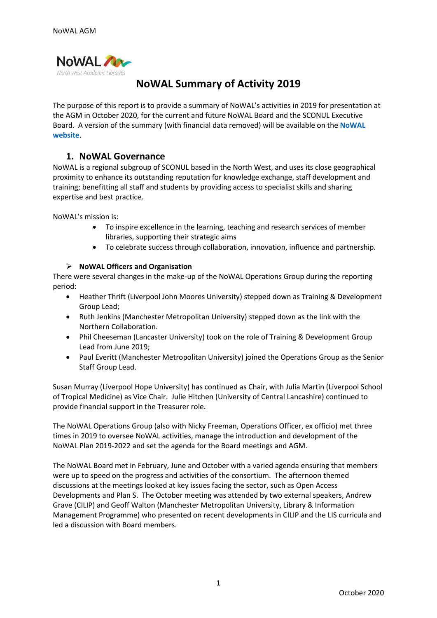

# **NoWAL Summary of Activity 2019**

The purpose of this report is to provide a summary of NoWAL's activities in 2019 for presentation at the AGM in October 2020, for the current and future NoWAL Board and the SCONUL Executive Board. A version of the summary (with financial data removed) will be available on the **[NoWAL](http://www.nowal.ac.uk/)  [website](http://www.nowal.ac.uk/)**.

# **1. NoWAL Governance**

NoWAL is a regional subgroup of SCONUL based in the North West, and uses its close geographical proximity to enhance its outstanding reputation for knowledge exchange, staff development and training; benefitting all staff and students by providing access to specialist skills and sharing expertise and best practice.

NoWAL's mission is:

- To inspire excellence in the learning, teaching and research services of member libraries, supporting their strategic aims
- To celebrate success through collaboration, innovation, influence and partnership.

### ➢ **NoWAL Officers and Organisation**

There were several changes in the make-up of the NoWAL Operations Group during the reporting period:

- Heather Thrift (Liverpool John Moores University) stepped down as Training & Development Group Lead;
- Ruth Jenkins (Manchester Metropolitan University) stepped down as the link with the Northern Collaboration.
- Phil Cheeseman (Lancaster University) took on the role of Training & Development Group Lead from June 2019;
- Paul Everitt (Manchester Metropolitan University) joined the Operations Group as the Senior Staff Group Lead.

Susan Murray (Liverpool Hope University) has continued as Chair, with Julia Martin (Liverpool School of Tropical Medicine) as Vice Chair. Julie Hitchen (University of Central Lancashire) continued to provide financial support in the Treasurer role.

The NoWAL Operations Group (also with Nicky Freeman, Operations Officer, ex officio) met three times in 2019 to oversee NoWAL activities, manage the introduction and development of the NoWAL Plan 2019-2022 and set the agenda for the Board meetings and AGM.

The NoWAL Board met in February, June and October with a varied agenda ensuring that members were up to speed on the progress and activities of the consortium. The afternoon themed discussions at the meetings looked at key issues facing the sector, such as Open Access Developments and Plan S. The October meeting was attended by two external speakers, Andrew Grave (CILIP) and Geoff Walton (Manchester Metropolitan University, Library & Information Management Programme) who presented on recent developments in CILIP and the LIS curricula and led a discussion with Board members.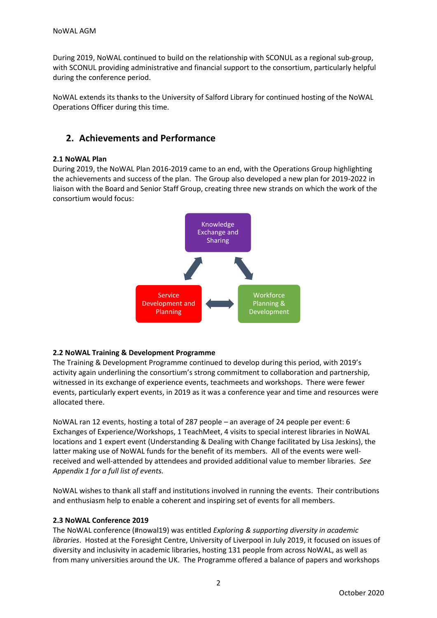During 2019, NoWAL continued to build on the relationship with SCONUL as a regional sub-group, with SCONUL providing administrative and financial support to the consortium, particularly helpful during the conference period.

NoWAL extends its thanks to the University of Salford Library for continued hosting of the NoWAL Operations Officer during this time.

# **2. Achievements and Performance**

## **2.1 NoWAL Plan**

During 2019, the NoWAL Plan 2016-2019 came to an end, with the Operations Group highlighting the achievements and success of the plan. The Group also developed a new plan for 2019-2022 in liaison with the Board and Senior Staff Group, creating three new strands on which the work of the consortium would focus:



## **2.2 NoWAL Training & Development Programme**

The Training & Development Programme continued to develop during this period, with 2019's activity again underlining the consortium's strong commitment to collaboration and partnership, witnessed in its exchange of experience events, teachmeets and workshops. There were fewer events, particularly expert events, in 2019 as it was a conference year and time and resources were allocated there.

NoWAL ran 12 events, hosting a total of 287 people – an average of 24 people per event: 6 Exchanges of Experience/Workshops, 1 TeachMeet, 4 visits to special interest libraries in NoWAL locations and 1 expert event (Understanding & Dealing with Change facilitated by Lisa Jeskins), the latter making use of NoWAL funds for the benefit of its members. All of the events were wellreceived and well-attended by attendees and provided additional value to member libraries. *See Appendix 1 for a full list of events.*

NoWAL wishes to thank all staff and institutions involved in running the events. Their contributions and enthusiasm help to enable a coherent and inspiring set of events for all members.

## **2.3 NoWAL Conference 2019**

The NoWAL conference (#nowal19) was entitled *Exploring & supporting diversity in academic libraries*. Hosted at the Foresight Centre, University of Liverpool in July 2019, it focused on issues of diversity and inclusivity in academic libraries, hosting 131 people from across NoWAL, as well as from many universities around the UK. The Programme offered a balance of papers and workshops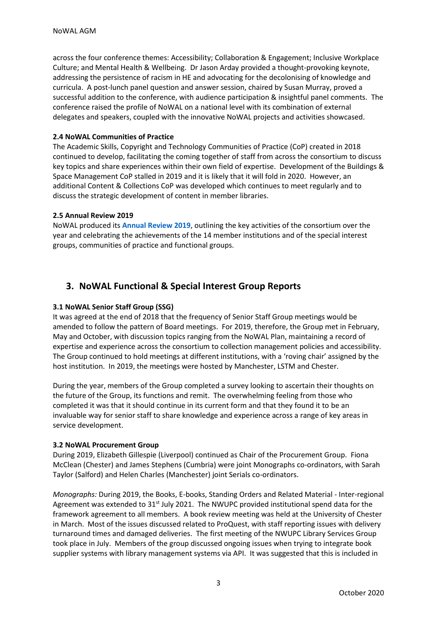across the four conference themes: Accessibility; Collaboration & Engagement; Inclusive Workplace Culture; and Mental Health & Wellbeing. Dr Jason Arday provided a thought-provoking keynote, addressing the persistence of racism in HE and advocating for the decolonising of knowledge and curricula. A post-lunch panel question and answer session, chaired by Susan Murray, proved a successful addition to the conference, with audience participation & insightful panel comments. The conference raised the profile of NoWAL on a national level with its combination of external delegates and speakers, coupled with the innovative NoWAL projects and activities showcased.

### **2.4 NoWAL Communities of Practice**

The Academic Skills, Copyright and Technology Communities of Practice (CoP) created in 2018 continued to develop, facilitating the coming together of staff from across the consortium to discuss key topics and share experiences within their own field of expertise. Development of the Buildings & Space Management CoP stalled in 2019 and it is likely that it will fold in 2020. However, an additional Content & Collections CoP was developed which continues to meet regularly and to discuss the strategic development of content in member libraries.

### **2.5 Annual Review 2019**

NoWAL produced its **[Annual Review 2019](https://spark.adobe.com/page/VkOnTx8xyvIfg/)**, outlining the key activities of the consortium over the year and celebrating the achievements of the 14 member institutions and of the special interest groups, communities of practice and functional groups.

# **3. NoWAL Functional & Special Interest Group Reports**

## **3.1 NoWAL Senior Staff Group (SSG)**

It was agreed at the end of 2018 that the frequency of Senior Staff Group meetings would be amended to follow the pattern of Board meetings. For 2019, therefore, the Group met in February, May and October, with discussion topics ranging from the NoWAL Plan, maintaining a record of expertise and experience across the consortium to collection management policies and accessibility. The Group continued to hold meetings at different institutions, with a 'roving chair' assigned by the host institution. In 2019, the meetings were hosted by Manchester, LSTM and Chester.

During the year, members of the Group completed a survey looking to ascertain their thoughts on the future of the Group, its functions and remit. The overwhelming feeling from those who completed it was that it should continue in its current form and that they found it to be an invaluable way for senior staff to share knowledge and experience across a range of key areas in service development.

### **3.2 NoWAL Procurement Group**

During 2019, Elizabeth Gillespie (Liverpool) continued as Chair of the Procurement Group. Fiona McClean (Chester) and James Stephens (Cumbria) were joint Monographs co-ordinators, with Sarah Taylor (Salford) and Helen Charles (Manchester) joint Serials co-ordinators.

*Monographs:* During 2019, the Books, E-books, Standing Orders and Related Material - Inter-regional Agreement was extended to  $31<sup>st</sup>$  July 2021. The NWUPC provided institutional spend data for the framework agreement to all members. A book review meeting was held at the University of Chester in March. Most of the issues discussed related to ProQuest, with staff reporting issues with delivery turnaround times and damaged deliveries. The first meeting of the NWUPC Library Services Group took place in July. Members of the group discussed ongoing issues when trying to integrate book supplier systems with library management systems via API. It was suggested that this is included in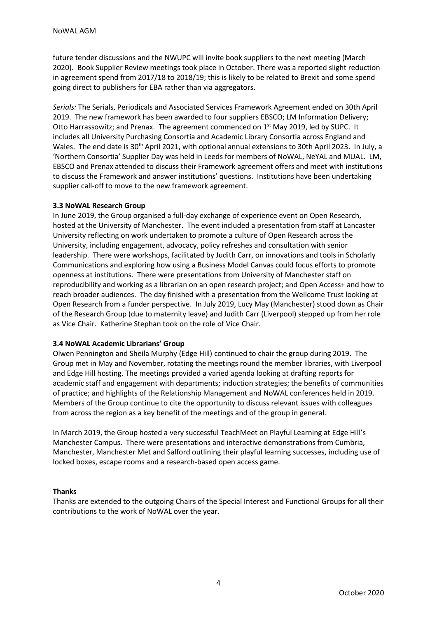future tender discussions and the NWUPC will invite book suppliers to the next meeting (March 2020). Book Supplier Review meetings took place in October. There was a reported slight reduction in agreement spend from 2017/18 to 2018/19; this is likely to be related to Brexit and some spend going direct to publishers for EBA rather than via aggregators.

*Serials:* The Serials, Periodicals and Associated Services Framework Agreement ended on 30th April 2019. The new framework has been awarded to four suppliers EBSCO; LM Information Delivery; Otto Harrassowitz; and Prenax. The agreement commenced on 1<sup>st</sup> May 2019, led by SUPC. It includes all University Purchasing Consortia and Academic Library Consortia across England and Wales. The end date is 30<sup>th</sup> April 2021, with optional annual extensions to 30th April 2023. In July, a 'Northern Consortia' Supplier Day was held in Leeds for members of NoWAL, NeYAL and MUAL. LM, EBSCO and Prenax attended to discuss their Framework agreement offers and meet with institutions to discuss the Framework and answer institutions' questions. Institutions have been undertaking supplier call-off to move to the new framework agreement.

### **3.3 NoWAL Research Group**

In June 2019, the Group organised a full-day exchange of experience event on Open Research, hosted at the University of Manchester. The event included a presentation from staff at Lancaster University reflecting on work undertaken to promote a culture of Open Research across the University, including engagement, advocacy, policy refreshes and consultation with senior leadership. There were workshops, facilitated by Judith Carr, on innovations and tools in Scholarly Communications and exploring how using a Business Model Canvas could focus efforts to promote openness at institutions. There were presentations from University of Manchester staff on reproducibility and working as a librarian on an open research project; and Open Access+ and how to reach broader audiences. The day finished with a presentation from the Wellcome Trust looking at Open Research from a funder perspective. In July 2019, Lucy May (Manchester) stood down as Chair of the Research Group (due to maternity leave) and Judith Carr (Liverpool) stepped up from her role as Vice Chair. Katherine Stephan took on the role of Vice Chair.

### **3.4 NoWAL Academic Librarians' Group**

Olwen Pennington and Sheila Murphy (Edge Hill) continued to chair the group during 2019. The Group met in May and November, rotating the meetings round the member libraries, with Liverpool and Edge Hill hosting. The meetings provided a varied agenda looking at drafting reports for academic staff and engagement with departments; induction strategies; the benefits of communities of practice; and highlights of the Relationship Management and NoWAL conferences held in 2019. Members of the Group continue to cite the opportunity to discuss relevant issues with colleagues from across the region as a key benefit of the meetings and of the group in general.

In March 2019, the Group hosted a very successful TeachMeet on Playful Learning at Edge Hill's Manchester Campus. There were presentations and interactive demonstrations from Cumbria, Manchester, Manchester Met and Salford outlining their playful learning successes, including use of locked boxes, escape rooms and a research-based open access game.

### **Thanks**

Thanks are extended to the outgoing Chairs of the Special Interest and Functional Groups for all their contributions to the work of NoWAL over the year.